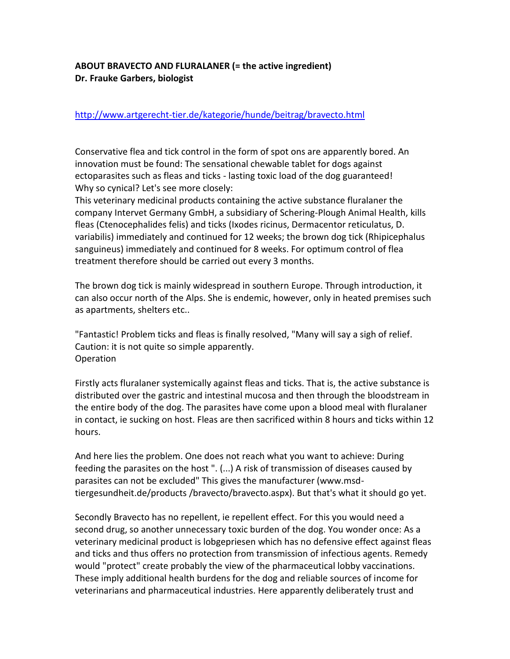## **ABOUT BRAVECTO AND FLURALANER (= the active ingredient) Dr. Frauke Garbers, biologist**

## <http://www.artgerecht-tier.de/kategorie/hunde/beitrag/bravecto.html>

Conservative flea and tick control in the form of spot ons are apparently bored. An innovation must be found: The sensational chewable tablet for dogs against ectoparasites such as fleas and ticks - lasting toxic load of the dog guaranteed! Why so cynical? Let's see more closely:

This veterinary medicinal products containing the active substance fluralaner the company Intervet Germany GmbH, a subsidiary of Schering-Plough Animal Health, kills fleas (Ctenocephalides felis) and ticks (Ixodes ricinus, Dermacentor reticulatus, D. variabilis) immediately and continued for 12 weeks; the brown dog tick (Rhipicephalus sanguineus) immediately and continued for 8 weeks. For optimum control of flea treatment therefore should be carried out every 3 months.

The brown dog tick is mainly widespread in southern Europe. Through introduction, it can also occur north of the Alps. She is endemic, however, only in heated premises such as apartments, shelters etc..

"Fantastic! Problem ticks and fleas is finally resolved, "Many will say a sigh of relief. Caution: it is not quite so simple apparently. Operation

Firstly acts fluralaner systemically against fleas and ticks. That is, the active substance is distributed over the gastric and intestinal mucosa and then through the bloodstream in the entire body of the dog. The parasites have come upon a blood meal with fluralaner in contact, ie sucking on host. Fleas are then sacrificed within 8 hours and ticks within 12 hours.

And here lies the problem. One does not reach what you want to achieve: During feeding the parasites on the host ". (...) A risk of transmission of diseases caused by parasites can not be excluded" This gives the manufacturer (www.msdtiergesundheit.de/products /bravecto/bravecto.aspx). But that's what it should go yet.

Secondly Bravecto has no repellent, ie repellent effect. For this you would need a second drug, so another unnecessary toxic burden of the dog. You wonder once: As a veterinary medicinal product is lobgepriesen which has no defensive effect against fleas and ticks and thus offers no protection from transmission of infectious agents. Remedy would "protect" create probably the view of the pharmaceutical lobby vaccinations. These imply additional health burdens for the dog and reliable sources of income for veterinarians and pharmaceutical industries. Here apparently deliberately trust and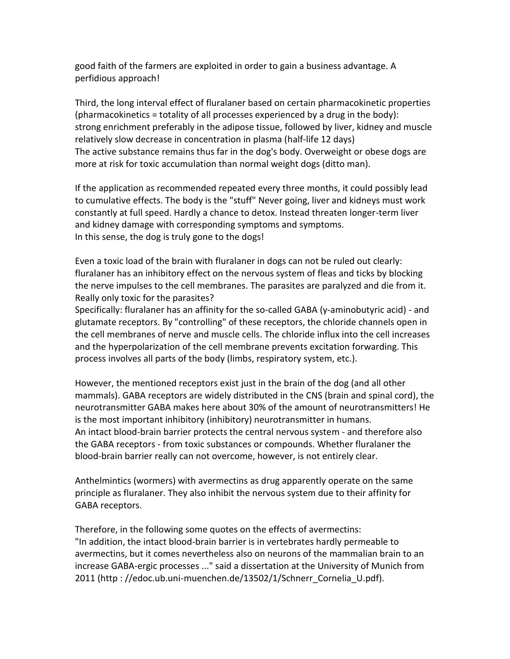good faith of the farmers are exploited in order to gain a business advantage. A perfidious approach!

Third, the long interval effect of fluralaner based on certain pharmacokinetic properties (pharmacokinetics = totality of all processes experienced by a drug in the body): strong enrichment preferably in the adipose tissue, followed by liver, kidney and muscle relatively slow decrease in concentration in plasma (half-life 12 days) The active substance remains thus far in the dog's body. Overweight or obese dogs are more at risk for toxic accumulation than normal weight dogs (ditto man).

If the application as recommended repeated every three months, it could possibly lead to cumulative effects. The body is the "stuff" Never going, liver and kidneys must work constantly at full speed. Hardly a chance to detox. Instead threaten longer-term liver and kidney damage with corresponding symptoms and symptoms. In this sense, the dog is truly gone to the dogs!

Even a toxic load of the brain with fluralaner in dogs can not be ruled out clearly: fluralaner has an inhibitory effect on the nervous system of fleas and ticks by blocking the nerve impulses to the cell membranes. The parasites are paralyzed and die from it. Really only toxic for the parasites?

Specifically: fluralaner has an affinity for the so-called GABA (y-aminobutyric acid) - and glutamate receptors. By "controlling" of these receptors, the chloride channels open in the cell membranes of nerve and muscle cells. The chloride influx into the cell increases and the hyperpolarization of the cell membrane prevents excitation forwarding. This process involves all parts of the body (limbs, respiratory system, etc.).

However, the mentioned receptors exist just in the brain of the dog (and all other mammals). GABA receptors are widely distributed in the CNS (brain and spinal cord), the neurotransmitter GABA makes here about 30% of the amount of neurotransmitters! He is the most important inhibitory (inhibitory) neurotransmitter in humans. An intact blood-brain barrier protects the central nervous system - and therefore also the GABA receptors - from toxic substances or compounds. Whether fluralaner the blood-brain barrier really can not overcome, however, is not entirely clear.

Anthelmintics (wormers) with avermectins as drug apparently operate on the same principle as fluralaner. They also inhibit the nervous system due to their affinity for GABA receptors.

Therefore, in the following some quotes on the effects of avermectins: "In addition, the intact blood-brain barrier is in vertebrates hardly permeable to avermectins, but it comes nevertheless also on neurons of the mammalian brain to an increase GABA-ergic processes ..." said a dissertation at the University of Munich from 2011 (http : //edoc.ub.uni-muenchen.de/13502/1/Schnerr\_Cornelia\_U.pdf).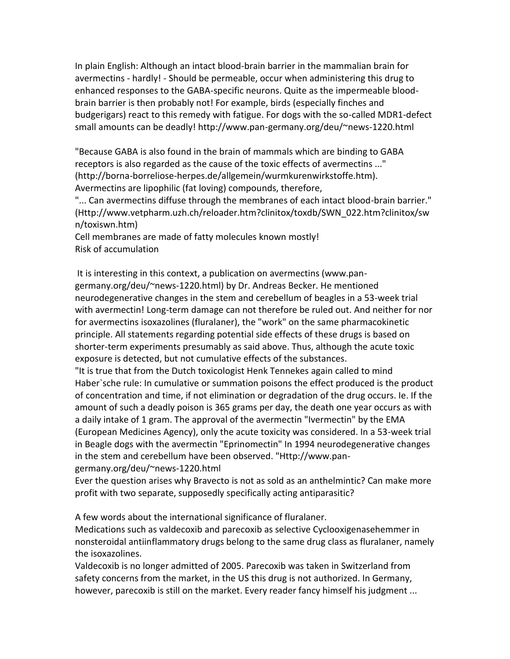In plain English: Although an intact blood-brain barrier in the mammalian brain for avermectins - hardly! - Should be permeable, occur when administering this drug to enhanced responses to the GABA-specific neurons. Quite as the impermeable bloodbrain barrier is then probably not! For example, birds (especially finches and budgerigars) react to this remedy with fatigue. For dogs with the so-called MDR1-defect small amounts can be deadly! http://www.pan-germany.org/deu/~news-1220.html

"Because GABA is also found in the brain of mammals which are binding to GABA receptors is also regarded as the cause of the toxic effects of avermectins ..." (http://borna-borreliose-herpes.de/allgemein/wurmkurenwirkstoffe.htm). Avermectins are lipophilic (fat loving) compounds, therefore,

"... Can avermectins diffuse through the membranes of each intact blood-brain barrier." (Http://www.vetpharm.uzh.ch/reloader.htm?clinitox/toxdb/SWN\_022.htm?clinitox/sw n/toxiswn.htm)

Cell membranes are made of fatty molecules known mostly! Risk of accumulation

It is interesting in this context, a publication on avermectins (www.pangermany.org/deu/~news-1220.html) by Dr. Andreas Becker. He mentioned neurodegenerative changes in the stem and cerebellum of beagles in a 53-week trial with avermectin! Long-term damage can not therefore be ruled out. And neither for nor for avermectins isoxazolines (fluralaner), the "work" on the same pharmacokinetic principle. All statements regarding potential side effects of these drugs is based on shorter-term experiments presumably as said above. Thus, although the acute toxic exposure is detected, but not cumulative effects of the substances.

"It is true that from the Dutch toxicologist Henk Tennekes again called to mind Haber`sche rule: In cumulative or summation poisons the effect produced is the product of concentration and time, if not elimination or degradation of the drug occurs. Ie. If the amount of such a deadly poison is 365 grams per day, the death one year occurs as with a daily intake of 1 gram. The approval of the avermectin "Ivermectin" by the EMA (European Medicines Agency), only the acute toxicity was considered. In a 53-week trial in Beagle dogs with the avermectin "Eprinomectin" In 1994 neurodegenerative changes in the stem and cerebellum have been observed. "Http://www.pan-

germany.org/deu/~news-1220.html

Ever the question arises why Bravecto is not as sold as an anthelmintic? Can make more profit with two separate, supposedly specifically acting antiparasitic?

A few words about the international significance of fluralaner.

Medications such as valdecoxib and parecoxib as selective Cyclooxigenasehemmer in nonsteroidal antiinflammatory drugs belong to the same drug class as fluralaner, namely the isoxazolines.

Valdecoxib is no longer admitted of 2005. Parecoxib was taken in Switzerland from safety concerns from the market, in the US this drug is not authorized. In Germany, however, parecoxib is still on the market. Every reader fancy himself his judgment ...